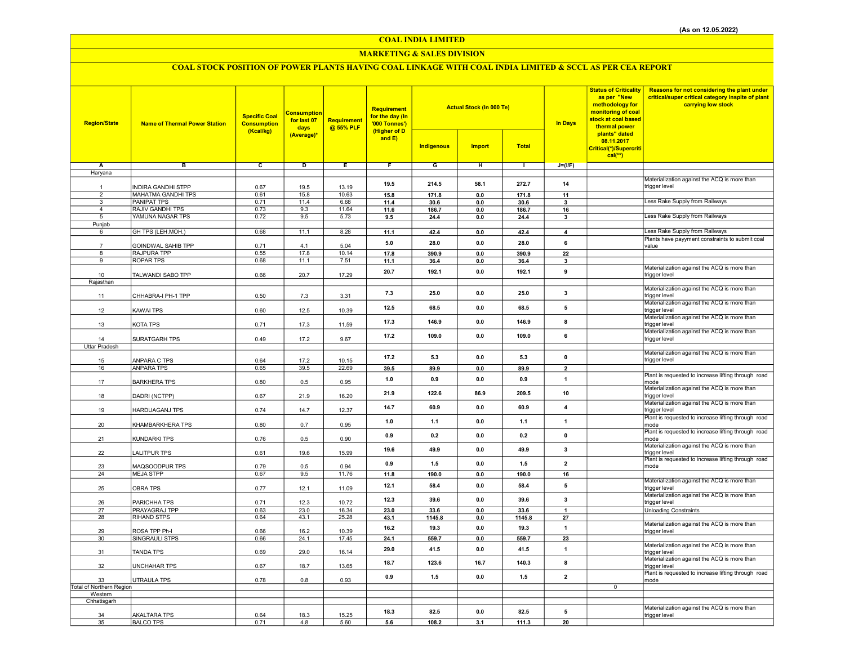## COAL INDIA LIMITED

## MARKETING & SALES DIVISION

# COAL STOCK POSITION OF POWER PLANTS HAVING COAL LINKAGE WITH COAL INDIA LIMITED & SCCL AS PER CEA REPORT

| <b>Region/State</b>            | <b>Name of Thermal Power Station</b>            | <b>Specific Coal</b><br><b>Consumption</b><br>(Kcal/kg) | <b>Consumption</b><br>for last 07<br>days<br>(Average)* | <b>Requirement</b><br>@ 55% PLF | Requirement<br>for the day (In<br>'000 Tonnes')<br>(Higher of D<br>and E) | <b>Actual Stock (In 000 Te)</b> |                       |               | <b>In Days</b>                | <b>Status of Criticality</b><br>as per "New<br>methodology for<br>monitoring of coal<br>stock at coal based<br>thermal power<br>plants" dated<br>08.11.2017 | Reasons for not considering the plant under<br>critical/super critical category inspite of plant<br>carrying low stock |
|--------------------------------|-------------------------------------------------|---------------------------------------------------------|---------------------------------------------------------|---------------------------------|---------------------------------------------------------------------------|---------------------------------|-----------------------|---------------|-------------------------------|-------------------------------------------------------------------------------------------------------------------------------------------------------------|------------------------------------------------------------------------------------------------------------------------|
|                                |                                                 |                                                         |                                                         |                                 |                                                                           | <b>Indigenous</b>               | <b>Import</b>         | <b>Total</b>  |                               | Critical(*)/Supercriti<br>$cal(**)$                                                                                                                         |                                                                                                                        |
| Α                              | в                                               | c                                                       | D                                                       | Ε                               | F                                                                         | G                               | н                     | $\mathbf{L}$  | $J=(I/F)$                     |                                                                                                                                                             |                                                                                                                        |
| Haryana                        |                                                 |                                                         |                                                         |                                 |                                                                           |                                 |                       |               |                               |                                                                                                                                                             |                                                                                                                        |
|                                |                                                 |                                                         |                                                         |                                 | 19.5                                                                      | 214.5                           | 58.1                  | 272.7         | 14                            |                                                                                                                                                             | Materialization against the ACQ is more than                                                                           |
| $\mathbf{1}$<br>$\overline{2}$ | <b>INDIRA GANDHI STPP</b>                       | 0.67                                                    | 19.5                                                    | 13.19                           |                                                                           |                                 |                       |               |                               |                                                                                                                                                             | trigger level                                                                                                          |
| $\overline{\mathbf{3}}$        | <b>MAHATMA GANDHI TPS</b><br><b>PANIPAT TPS</b> | 0.61<br>0.71                                            | 15.8<br>11.4                                            | 10.63<br>6.68                   | 15.8<br>11.4                                                              | 171.8<br>30.6                   | $\mathbf{0.0}$<br>0.0 | 171.8<br>30.6 | 11<br>$\overline{\mathbf{3}}$ |                                                                                                                                                             | Less Rake Supply from Railways                                                                                         |
| $\overline{4}$                 | RAJIV GANDHI TPS                                | 0.73                                                    | 9.3                                                     | 11.64                           | 11.6                                                                      | 186.7                           | 0.0                   | 186.7         | 16                            |                                                                                                                                                             |                                                                                                                        |
| 5                              | YAMUNA NAGAR TPS                                | 0.72                                                    | 9.5                                                     | 5.73                            | 9.5                                                                       | 24.4                            | 0.0                   | 24.4          | 3                             |                                                                                                                                                             | Less Rake Supply from Railways                                                                                         |
| Punjab                         |                                                 |                                                         |                                                         |                                 |                                                                           |                                 |                       |               |                               |                                                                                                                                                             |                                                                                                                        |
| 6                              | GH TPS (LEH.MOH.)                               | 0.68                                                    | 11.1                                                    | 8.28                            | 11.1                                                                      | 42.4                            | $\mathbf{0.0}$        | 42.4          | $\overline{4}$                |                                                                                                                                                             | Less Rake Supply from Railways                                                                                         |
|                                | GOINDWAL SAHIB TPP                              | 0.71                                                    | 4.1                                                     | 5.04                            | 5.0                                                                       | 28.0                            | 0.0                   | 28.0          | 6                             |                                                                                                                                                             | Plants have payyment constraints to submit coal<br>value                                                               |
| 8                              | RAJPURA TPP                                     | 0.55                                                    | 17.8                                                    | 10.14                           | 17.8                                                                      | 390.9                           | 0.0                   | 390.9         | 22                            |                                                                                                                                                             |                                                                                                                        |
| 9                              | <b>ROPAR TPS</b>                                | 0.68                                                    | 11.1                                                    | 7.51                            | 11.1                                                                      | 36.4                            | 0.0                   | 36.4          | $\overline{\mathbf{3}}$       |                                                                                                                                                             |                                                                                                                        |
|                                |                                                 |                                                         |                                                         |                                 | 20.7                                                                      | 192.1                           | 0.0                   | 192.1         | 9                             |                                                                                                                                                             | Materialization against the ACQ is more than                                                                           |
| 10<br>Rajasthan                | TALWANDI SABO TPP                               | 0.66                                                    | 20.7                                                    | 17.29                           |                                                                           |                                 |                       |               |                               |                                                                                                                                                             | trigger level                                                                                                          |
| 11                             | CHHABRA-I PH-1 TPP                              | 0.50                                                    | 7.3                                                     | 3.31                            | 7.3                                                                       | 25.0                            | 0.0                   | 25.0          | 3                             |                                                                                                                                                             | Materialization against the ACQ is more than<br>trigger level                                                          |
| 12                             | <b>KAWAI TPS</b>                                | 0.60                                                    | 12.5                                                    | 10.39                           | 12.5                                                                      | 68.5                            | 0.0                   | 68.5          | 5                             |                                                                                                                                                             | Materialization against the ACQ is more than<br>trigger level                                                          |
| 13                             | KOTA TPS                                        | 0.71                                                    | 17.3                                                    | 11.59                           | 17.3                                                                      | 146.9                           | $0.0\,$               | 146.9         | 8                             |                                                                                                                                                             | Materialization against the ACQ is more than<br>trigger level                                                          |
| 14                             | SURATGARH TPS                                   | 0.49                                                    | 17.2                                                    | 9.67                            | 17.2                                                                      | 109.0                           | 0.0                   | 109.0         | 6                             |                                                                                                                                                             | Materialization against the ACQ is more than<br>trigger level                                                          |
| <b>Uttar Pradesh</b>           |                                                 |                                                         |                                                         |                                 |                                                                           |                                 |                       |               |                               |                                                                                                                                                             |                                                                                                                        |
|                                |                                                 |                                                         |                                                         |                                 |                                                                           |                                 |                       |               |                               |                                                                                                                                                             | Materialization against the ACQ is more than                                                                           |
| 15                             | ANPARA C TPS                                    | 0.64                                                    | 17.2                                                    | 10.15                           | 17.2                                                                      | 5.3                             | 0.0                   | 5.3           | $\mathbf 0$                   |                                                                                                                                                             | trigger level                                                                                                          |
| 16                             | <b>ANPARA TPS</b>                               | 0.65                                                    | 39.5                                                    | 22.69                           | 39.5                                                                      | 89.9                            | $0.0\,$               | 89.9          | $\overline{2}$                |                                                                                                                                                             |                                                                                                                        |
| 17                             | <b>BARKHERA TPS</b>                             | 0.80                                                    | 0.5                                                     | 0.95                            | 1.0                                                                       | 0.9                             | 0.0                   | 0.9           | $\mathbf{1}$                  |                                                                                                                                                             | Plant is requested to increase lifting through road<br>mode<br>Materialization against the ACQ is more than            |
| 18                             | DADRI (NCTPP)                                   | 0.67                                                    | 21.9                                                    | 16.20                           | 21.9                                                                      | 122.6                           | 86.9                  | 209.5         | 10                            |                                                                                                                                                             | trigger level                                                                                                          |
| 19                             | <b>HARDUAGANJ TPS</b>                           | 0.74                                                    | 14.7                                                    | 12.37                           | 14.7                                                                      | 60.9                            | 0.0                   | 60.9          | $\overline{\mathbf{4}}$       |                                                                                                                                                             | Materialization against the ACQ is more than<br>trigger level                                                          |
| 20                             | KHAMBARKHERA TPS                                | 0.80                                                    | 0.7                                                     | 0.95                            | 1.0                                                                       | 1.1                             | 0.0                   | 1.1           | $\overline{1}$                |                                                                                                                                                             | Plant is requested to increase lifting through road<br>mode                                                            |
| 21                             | KUNDARKI TPS                                    | 0.76                                                    | 0.5                                                     | 0.90                            | 0.9                                                                       | 0.2                             | 0.0                   | 0.2           | $\mathbf 0$                   |                                                                                                                                                             | Plant is requested to increase lifting through road<br>mode                                                            |
| 22                             | <b>LALITPUR TPS</b>                             | 0.61                                                    | 19.6                                                    | 15.99                           | 19.6                                                                      | 49.9                            | 0.0                   | 49.9          | 3                             |                                                                                                                                                             | Materialization against the ACQ is more than<br>trigger level                                                          |
| 23                             | MAQSOODPUR TPS                                  | 0.79                                                    | 0.5                                                     | 0.94                            | 0.9                                                                       | 1.5                             | 0.0                   | 1.5           | $\overline{\mathbf{2}}$       |                                                                                                                                                             | Plant is requested to increase lifting through road<br>mode                                                            |
| 24                             | <b>MEJA STPP</b>                                | 0.67                                                    | 9.5                                                     | 11.76                           | 11.8                                                                      | 190.0                           | 0.0                   | 190.0         | 16                            |                                                                                                                                                             |                                                                                                                        |
| 25                             | <b>OBRA TPS</b>                                 | 0.77                                                    | 12.1                                                    | 11.09                           | 12.1                                                                      | 58.4                            | 0.0                   | 58.4          | 5                             |                                                                                                                                                             | Materialization against the ACQ is more than<br>trigger level                                                          |
| 26                             | PARICHHA TPS                                    | 0.71                                                    | 12.3                                                    | 10.72                           | 12.3                                                                      | 39.6                            | 0.0                   | 39.6          | $\mathbf{3}$                  |                                                                                                                                                             | Materialization against the ACQ is more than<br>trigger level                                                          |
| 27<br>28                       | PRAYAGRAJ TPP<br>RIHAND STPS                    | 0.63<br>0.64                                            | 23.0<br>43.1                                            | 16.34<br>25.28                  | 23.0                                                                      | 33.6<br>1145.8                  | 0.0                   | 33.6          | 27                            |                                                                                                                                                             | <b>Unloading Constraints</b>                                                                                           |
|                                |                                                 |                                                         |                                                         |                                 | 43.1                                                                      |                                 | 0.0                   | 1145.8        |                               |                                                                                                                                                             | Materialization against the ACQ is more than                                                                           |
| 29                             | ROSA TPP Ph-I                                   | 0.66                                                    | 16.2                                                    | 10.39                           | 16.2                                                                      | 19.3                            | 0.0                   | 19.3          | $\overline{1}$                |                                                                                                                                                             | trigger level                                                                                                          |
| 30                             | SINGRAULI STPS                                  | 0.66                                                    | 24.1                                                    | 17.45                           | 24.1                                                                      | 559.7                           | 0.0                   | 559.7         | 23                            |                                                                                                                                                             |                                                                                                                        |
| 31                             | <b>TANDA TPS</b>                                | 0.69                                                    | 29.0                                                    | 16.14                           | 29.0                                                                      | 41.5                            | 0.0                   | 41.5          | $\mathbf{1}$                  |                                                                                                                                                             | Materialization against the ACQ is more than<br>trigger level                                                          |
| 32                             | <b>UNCHAHAR TPS</b>                             | 0.67                                                    | 18.7                                                    | 13.65                           | 18.7                                                                      | 123.6                           | 16.7                  | 140.3         | 8                             |                                                                                                                                                             | Materialization against the ACQ is more than<br>trigger level                                                          |
| 33                             | <b>UTRAULA TPS</b>                              | 0.78                                                    | 0.8                                                     | 0.93                            | 0.9                                                                       | 1.5                             | 0.0                   | 1.5           | $\overline{2}$                |                                                                                                                                                             | Plant is requested to increase lifting through road<br>mode                                                            |
| Total of Northern Region       |                                                 |                                                         |                                                         |                                 |                                                                           |                                 |                       |               |                               | $\overline{0}$                                                                                                                                              |                                                                                                                        |
| Western<br>Chhatisgarh         |                                                 |                                                         |                                                         |                                 |                                                                           |                                 |                       |               |                               |                                                                                                                                                             |                                                                                                                        |
|                                |                                                 |                                                         |                                                         |                                 | 18.3                                                                      | 82.5                            | 0.0                   | 82.5          | 5                             |                                                                                                                                                             | Materialization against the ACQ is more than                                                                           |
| 34<br>35                       | <b>AKALTARA TPS</b><br><b>BALCO TPS</b>         | 0.64<br>0.71                                            | 18.3<br>4.8                                             | 15.25<br>5.60                   |                                                                           |                                 |                       | 111.3         |                               |                                                                                                                                                             | trigger level                                                                                                          |
|                                |                                                 |                                                         |                                                         |                                 | 5.6                                                                       | 108.2                           | 3.1                   |               | 20                            |                                                                                                                                                             |                                                                                                                        |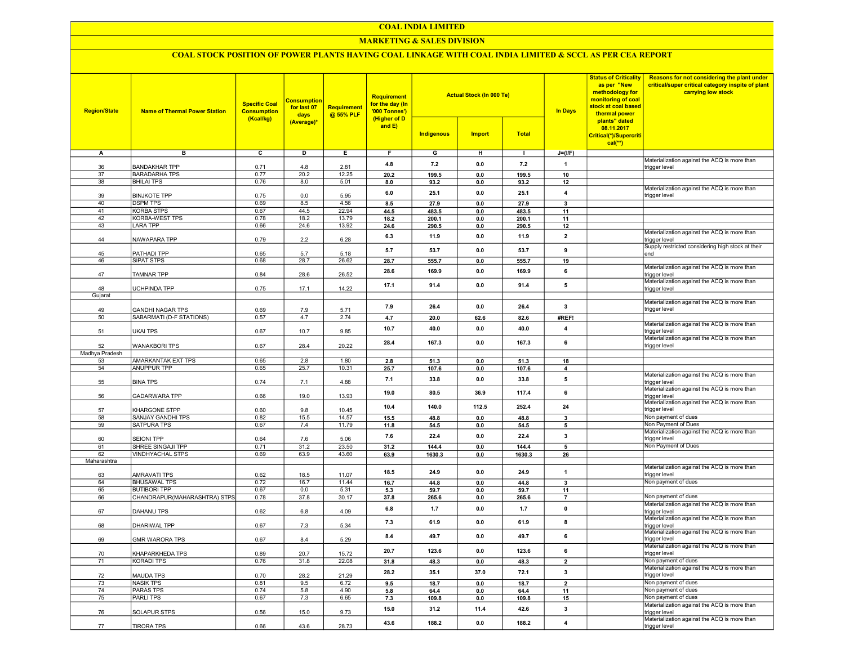#### COAL INDIA LIMITED

## MARKETING & SALES DIVISION

## COAL STOCK POSITION OF POWER PLANTS HAVING COAL LINKAGE WITH COAL INDIA LIMITED & SCCL AS PER CEA REPORT

| <b>Region/State</b> | <b>Name of Thermal Power Station</b>                | <b>Specific Coal</b><br><b>Consumption</b><br>(Kcal/kg) | <b>Consumption</b><br>for last 07<br>days<br>(Average)* | <b>Requirement</b><br>@ 55% PLF | <b>Requirement</b><br>for the day (In<br>'000 Tonnes')<br>(Higher of D<br>and E) | <b>Indigenous</b> | <b>Actual Stock (In 000 Te)</b><br><b>Import</b> | <b>Total</b>    | <b>In Days</b>       | <b>Status of Criticality</b><br>as per "New<br>methodology for<br>monitoring of coal<br>stock at coal based<br>thermal power<br>plants" dated<br>08.11.2017<br>Critical(*)/Supercriti<br>$cal**$ | Reasons for not considering the plant under<br>critical/super critical category inspite of plant<br>carrying low stock |
|---------------------|-----------------------------------------------------|---------------------------------------------------------|---------------------------------------------------------|---------------------------------|----------------------------------------------------------------------------------|-------------------|--------------------------------------------------|-----------------|----------------------|--------------------------------------------------------------------------------------------------------------------------------------------------------------------------------------------------|------------------------------------------------------------------------------------------------------------------------|
| Α                   | в                                                   | $\overline{c}$                                          | D                                                       | Е.                              | F.                                                                               | G                 | н                                                | л.              | $J=(I/F)$            |                                                                                                                                                                                                  |                                                                                                                        |
|                     |                                                     |                                                         |                                                         |                                 |                                                                                  | 7.2               |                                                  |                 |                      |                                                                                                                                                                                                  | Materialization against the ACQ is more than                                                                           |
| 36                  | <b>BANDAKHAR TPP</b>                                | 0.71                                                    | 4.8                                                     | 2.81                            | 4.8                                                                              |                   | 0.0                                              | 7.2             | $\mathbf{1}$         |                                                                                                                                                                                                  | trigger level                                                                                                          |
| 37                  | <b>BARADARHA TPS</b>                                | 0.77                                                    | 20.2                                                    | 12.25                           | 20.2                                                                             | 199.5             | 0.0                                              | 199.5           | 10                   |                                                                                                                                                                                                  |                                                                                                                        |
| 38                  | <b>BHILAI TPS</b>                                   | 0.76                                                    | 8.0                                                     | 5.01                            | 8.0                                                                              | 93.2              | 0.0                                              | 93.2            | 12                   |                                                                                                                                                                                                  | Materialization against the ACQ is more than                                                                           |
| 39                  | <b>BINJKOTE TPP</b>                                 | 0.75                                                    | 0.0                                                     | 5.95                            | 6.0                                                                              | 25.1              | 0.0                                              | 25.1            | 4                    |                                                                                                                                                                                                  | trigger level                                                                                                          |
| 40                  | <b>DSPM TPS</b>                                     | 0.69                                                    | 8.5                                                     | 4.56                            | 8.5                                                                              | 27.9              | 0.0                                              | 27.9            | 3                    |                                                                                                                                                                                                  |                                                                                                                        |
| 41                  | <b>KORBA STPS</b>                                   | 0.67                                                    | 44.5                                                    | 22.94                           | 44.5                                                                             | 483.5             | 0.0                                              | 483.5           | 11                   |                                                                                                                                                                                                  |                                                                                                                        |
| 42                  | KORBA-WEST TPS                                      | 0.78                                                    | 18.2                                                    | 13.79                           | 18.2                                                                             | 200.1             | 0.0                                              | 200.1           | 11                   |                                                                                                                                                                                                  |                                                                                                                        |
| 43                  | LARA TPP                                            | 0.66                                                    | 24.6                                                    | 13.92                           | 24.6                                                                             | 290.5             | 0.0                                              | 290.5           | 12                   |                                                                                                                                                                                                  |                                                                                                                        |
| 44                  | NAWAPARA TPP                                        | 0.79                                                    | 2.2                                                     | 6.28                            | 6.3                                                                              | 11.9              | 0.0                                              | 11.9            | $\overline{2}$       |                                                                                                                                                                                                  | Materialization against the ACQ is more than<br>trigger level                                                          |
|                     |                                                     |                                                         |                                                         |                                 | 5.7                                                                              | 53.7              | 0.0                                              | 53.7            | 9                    |                                                                                                                                                                                                  | Supply restricted considering high stock at their                                                                      |
| 45                  | PATHADI TPP                                         | 0.65                                                    | 5.7                                                     | 5.18                            |                                                                                  |                   |                                                  |                 |                      |                                                                                                                                                                                                  | end                                                                                                                    |
| 46                  | SIPAT STPS                                          | 0.68                                                    | 28.7                                                    | 26.62                           | 28.7                                                                             | 555.7             | 0.0                                              | 555.7           | 19                   |                                                                                                                                                                                                  | Materialization against the ACQ is more than                                                                           |
| 47                  | TAMNAR TPP                                          | 0.84                                                    | 28.6                                                    | 26.52                           | 28.6                                                                             | 169.9             | 0.0                                              | 169.9           | 6                    |                                                                                                                                                                                                  | trigger level                                                                                                          |
|                     |                                                     |                                                         |                                                         |                                 |                                                                                  |                   |                                                  |                 |                      |                                                                                                                                                                                                  | Materialization against the ACQ is more than                                                                           |
| 48                  | UCHPINDA TPP                                        | 0.75                                                    | 17.1                                                    | 14.22                           | 17.1                                                                             | 91.4              | 0.0                                              | 91.4            | 5                    |                                                                                                                                                                                                  | trigger level                                                                                                          |
| Gujarat             |                                                     |                                                         |                                                         |                                 |                                                                                  |                   |                                                  |                 |                      |                                                                                                                                                                                                  |                                                                                                                        |
| 49                  |                                                     |                                                         | 7.9                                                     | 5.71                            | 7.9                                                                              | 26.4              | 0.0                                              | 26.4            | $\mathbf{3}$         |                                                                                                                                                                                                  | Materialization against the ACQ is more than<br>trigger level                                                          |
| 50                  | <b>GANDHI NAGAR TPS</b><br>SABARMATI (D-F STATIONS) | 0.69<br>0.57                                            | 4.7                                                     | 2.74                            | 4.7                                                                              | 20.0              | 62.6                                             | 82.6            | #REF!                |                                                                                                                                                                                                  |                                                                                                                        |
|                     |                                                     |                                                         |                                                         |                                 |                                                                                  |                   |                                                  |                 |                      |                                                                                                                                                                                                  | Materialization against the ACQ is more than                                                                           |
| 51                  | UKAI TPS                                            | 0.67                                                    | 10.7                                                    | 9.85                            | 10.7                                                                             | 40.0              | 0.0                                              | 40.0            | $\overline{4}$       |                                                                                                                                                                                                  | trigger level                                                                                                          |
| 52                  | <b>WANAKBORI TPS</b>                                | 0.67                                                    | 28.4                                                    | 20.22                           | 28.4                                                                             | 167.3             | 0.0                                              | 167.3           | 6                    |                                                                                                                                                                                                  | Materialization against the ACQ is more than<br>trigger level                                                          |
| Madhya Pradesh      |                                                     |                                                         |                                                         |                                 |                                                                                  |                   |                                                  |                 |                      |                                                                                                                                                                                                  |                                                                                                                        |
| 53                  | AMARKANTAK EXT TPS                                  | 0.65                                                    | 2.8                                                     | 1.80                            | 2.8                                                                              | 51.3              | 0.0                                              | 51.3            | 18                   |                                                                                                                                                                                                  |                                                                                                                        |
| 54                  | <b>ANUPPUR TPP</b>                                  | 0.65                                                    | 25.7                                                    | 10.31                           | 25.7                                                                             | 107.6             | 0.0                                              | 107.6           | $\overline{4}$       |                                                                                                                                                                                                  |                                                                                                                        |
| 55                  | <b>BINA TPS</b>                                     | 0.74                                                    | 7.1                                                     | 4.88                            | 7.1                                                                              | 33.8              | 0.0                                              | 33.8            | 5                    |                                                                                                                                                                                                  | Materialization against the ACQ is more than<br>trigger level                                                          |
|                     |                                                     |                                                         |                                                         |                                 | 19.0                                                                             | 80.5              | 36.9                                             | 117.4           | 6                    |                                                                                                                                                                                                  | Materialization against the ACQ is more than                                                                           |
| 56                  | GADARWARA TPP                                       | 0.66                                                    | 19.0                                                    | 13.93                           |                                                                                  |                   |                                                  |                 |                      |                                                                                                                                                                                                  | trigger level<br>Materialization against the ACQ is more than                                                          |
| 57                  | KHARGONE STPP                                       | 0.60                                                    | 9.8                                                     | 10.45                           | 10.4                                                                             | 140.0             | 112.5                                            | 252.4           | 24                   |                                                                                                                                                                                                  | trigger level                                                                                                          |
| 58                  | SANJAY GANDHI TPS                                   | 0.82                                                    | 15.5                                                    | 14.57                           | 15.5                                                                             | 48.8              | 0.0                                              | 48.8            | 3                    |                                                                                                                                                                                                  | Non payment of dues                                                                                                    |
| 59                  | SATPURA TPS                                         | 0.67                                                    | 7.4                                                     | 11.79                           | 11.8                                                                             | 54.5              | 0.0                                              | 54.5            | 5                    |                                                                                                                                                                                                  | Non Payment of Dues                                                                                                    |
|                     |                                                     |                                                         |                                                         |                                 | 7.6                                                                              | 22.4              | 0.0                                              | 22.4            | 3                    |                                                                                                                                                                                                  | Materialization against the ACQ is more than                                                                           |
| 60<br>61            | <b>SEIONI TPP</b><br>SHREE SINGAJI TPP              | 0.64<br>0.71                                            | 7.6<br>31.2                                             | 5.06<br>23.50                   |                                                                                  |                   |                                                  |                 |                      |                                                                                                                                                                                                  | trigger level<br>Non Payment of Dues                                                                                   |
| 62                  | VINDHYACHAL STPS                                    | 0.69                                                    | 63.9                                                    | 43.60                           | 31.2<br>63.9                                                                     | 144.4<br>1630.3   | 0.0<br>0.0                                       | 144.4<br>1630.3 | 5<br>26              |                                                                                                                                                                                                  |                                                                                                                        |
| Maharashtra         |                                                     |                                                         |                                                         |                                 |                                                                                  |                   |                                                  |                 |                      |                                                                                                                                                                                                  |                                                                                                                        |
|                     |                                                     |                                                         |                                                         |                                 | 18.5                                                                             | 24.9              | 0.0                                              | 24.9            | $\mathbf{1}$         |                                                                                                                                                                                                  | Materialization against the ACQ is more than                                                                           |
| 63                  | AMRAVATI TPS                                        | 0.62                                                    | 18.5                                                    | 11.07                           |                                                                                  |                   |                                                  |                 |                      |                                                                                                                                                                                                  | trigger level                                                                                                          |
| 64                  | <b>BHUSAWAL TPS</b>                                 | 0.72                                                    | 16.7                                                    | 11.44                           | 16.7                                                                             | 44.8              | 0.0                                              | 44.8            | $\mathbf{3}$         |                                                                                                                                                                                                  | Non payment of dues                                                                                                    |
| 65<br>66            | <b>BUTIBORI TPP</b><br>CHANDRAPUR(MAHARASHTRA) STPS | 0.67<br>0.78                                            | 0.0<br>37.8                                             | 5.31<br>30.17                   | 5.3<br>37.8                                                                      | 59.7<br>265.6     | 0.0<br>0.0                                       | 59.7<br>265.6   | 11<br>$\overline{7}$ |                                                                                                                                                                                                  | Non payment of dues                                                                                                    |
|                     |                                                     |                                                         |                                                         |                                 |                                                                                  |                   |                                                  |                 |                      |                                                                                                                                                                                                  | Materialization against the ACQ is more than                                                                           |
| 67                  | DAHANU TPS                                          | 0.62                                                    | 6.8                                                     | 4.09                            | $6.8\,$                                                                          | 1.7               | 0.0                                              | 1.7             | $\pmb{0}$            |                                                                                                                                                                                                  | trigger level                                                                                                          |
| 68                  | DHARIWAL TPP                                        | 0.67                                                    | 7.3                                                     | 5.34                            | 7.3                                                                              | 61.9              | 0.0                                              | 61.9            | 8                    |                                                                                                                                                                                                  | Materialization against the ACQ is more than<br>trigger level                                                          |
|                     |                                                     |                                                         |                                                         |                                 |                                                                                  |                   |                                                  |                 |                      |                                                                                                                                                                                                  | Materialization against the ACQ is more than                                                                           |
| 69                  | GMR WARORA TPS                                      | 0.67                                                    | 8.4                                                     | 5.29                            | 8.4                                                                              | 49.7              | 0.0                                              | 49.7            | 6                    |                                                                                                                                                                                                  | trigger level                                                                                                          |
|                     |                                                     |                                                         |                                                         |                                 | 20.7                                                                             | 123.6             | 0.0                                              | 123.6           | 6                    |                                                                                                                                                                                                  | Materialization against the ACQ is more than                                                                           |
| 70<br>71            | KHAPARKHEDA TPS<br>KORADI TPS                       | 0.89<br>0.76                                            | 20.7<br>31.8                                            | 15.72<br>22.08                  |                                                                                  |                   |                                                  |                 |                      |                                                                                                                                                                                                  | trigger level<br>Non payment of dues                                                                                   |
|                     |                                                     |                                                         |                                                         |                                 | 31.8                                                                             | 48.3              | 0.0                                              | 48.3            | $\mathbf{2}$         |                                                                                                                                                                                                  | Materialization against the ACQ is more than                                                                           |
| 72                  | MAUDA TPS                                           | 0.70                                                    | 28.2                                                    | 21.29                           | 28.2                                                                             | 35.1              | 37.0                                             | 72.1            | $\mathbf{3}$         |                                                                                                                                                                                                  | trigger level                                                                                                          |
| 73                  | <b>NASIK TPS</b>                                    | 0.81                                                    | 9.5                                                     | 6.72                            | 9.5                                                                              | 18.7              | 0.0                                              | 18.7            | $\overline{2}$       |                                                                                                                                                                                                  | Non payment of dues                                                                                                    |
| 74                  | <b>PARAS TPS</b>                                    | 0.74                                                    | 5.8                                                     | 4.90                            | 5.8                                                                              | 64.4              | 0.0                                              | 64.4            | 11                   |                                                                                                                                                                                                  | Non payment of dues                                                                                                    |
| 75                  | PARLITPS                                            | 0.67                                                    | 7.3                                                     | 6.65                            | 7.3                                                                              | 109.8             | 0.0                                              | 109.8           | 15                   |                                                                                                                                                                                                  | Non payment of dues                                                                                                    |
|                     |                                                     |                                                         |                                                         |                                 | 15.0                                                                             | 31.2              | 11.4                                             | 42.6            | $\mathbf{3}$         |                                                                                                                                                                                                  | Materialization against the ACQ is more than                                                                           |
| 76                  | SOLAPUR STPS                                        | 0.56                                                    | 15.0                                                    | 9.73                            |                                                                                  |                   |                                                  |                 |                      |                                                                                                                                                                                                  | trigger level<br>Materialization against the ACQ is more than                                                          |
| 77                  | <b>TIRORA TPS</b>                                   | 0.66                                                    | 43.6                                                    | 28.73                           | 43.6                                                                             | 188.2             | 0.0                                              | 188.2           | $\pmb{4}$            |                                                                                                                                                                                                  | trigger level                                                                                                          |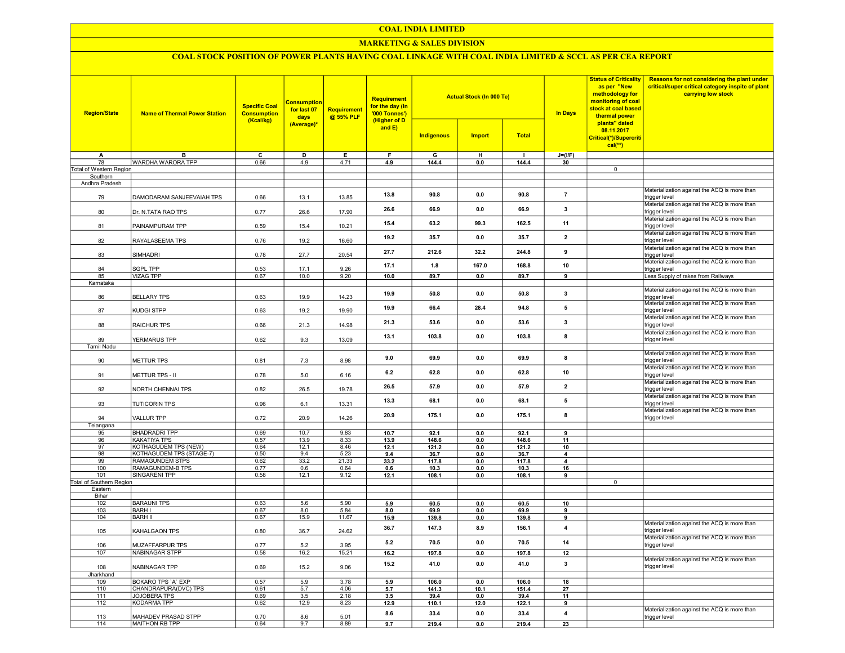#### COAL INDIA LIMITED

## MARKETING & SALES DIVISION

# COAL STOCK POSITION OF POWER PLANTS HAVING COAL LINKAGE WITH COAL INDIA LIMITED & SCCL AS PER CEA REPORT

| <b>Region/State</b>      | <b>Name of Thermal Power Station</b>       | <b>Specific Coal</b><br><b>Consumption</b><br>(Kcal/kg) | <b>Consumption</b><br>for last 07<br>days<br>(Average)* | <b>Requirement</b><br>@ 55% PLF | Requirement<br>for the day (In<br>'000 Tonnes')<br>(Higher of D |                   | <b>Actual Stock (In 000 Te)</b> |               | <b>In Days</b> | <b>Status of Criticality</b><br>as per "New<br>methodology for<br>monitoring of coal<br>stock at coal based<br>thermal power<br>plants" dated | Reasons for not considering the plant under<br>critical/super critical category inspite of plant<br>carrying low stock |
|--------------------------|--------------------------------------------|---------------------------------------------------------|---------------------------------------------------------|---------------------------------|-----------------------------------------------------------------|-------------------|---------------------------------|---------------|----------------|-----------------------------------------------------------------------------------------------------------------------------------------------|------------------------------------------------------------------------------------------------------------------------|
|                          |                                            |                                                         |                                                         |                                 | and $E$ )                                                       | <b>Indigenous</b> | <b>Import</b>                   | <b>Total</b>  |                | 08.11.2017<br>Critical(*)/Supercriti<br>$cal(**)$                                                                                             |                                                                                                                        |
| A                        | в                                          | с                                                       | D                                                       | Е                               | F.                                                              | G                 | н                               | $\mathbf{I}$  | $J=(UF)$       |                                                                                                                                               |                                                                                                                        |
| 78                       | WARDHA WARORA TPP                          | 0.66                                                    | 4.9                                                     | 4.71                            | 4.9                                                             | 144.4             | 0.0                             | 144.4         | 30             |                                                                                                                                               |                                                                                                                        |
| Total of Western Region  |                                            |                                                         |                                                         |                                 |                                                                 |                   |                                 |               |                | $\overline{0}$                                                                                                                                |                                                                                                                        |
| Southern                 |                                            |                                                         |                                                         |                                 |                                                                 |                   |                                 |               |                |                                                                                                                                               |                                                                                                                        |
| Andhra Pradesh<br>79     | DAMODARAM SANJEEVAIAH TPS                  | 0.66                                                    | 13.1                                                    | 13.85                           | 13.8                                                            | 90.8              | 0.0                             | 90.8          | $\overline{7}$ |                                                                                                                                               | Materialization against the ACQ is more than<br>trigger level                                                          |
| 80                       | Dr. N.TATA RAO TPS                         | 0.77                                                    | 26.6                                                    | 17.90                           | 26.6                                                            | 66.9              | 0.0                             | 66.9          | 3              |                                                                                                                                               | Materialization against the ACQ is more than<br>trigger level                                                          |
| 81                       | PAINAMPURAM TPP                            | 0.59                                                    | 15.4                                                    | 10.21                           | 15.4                                                            | 63.2              | 99.3                            | 162.5         | 11             |                                                                                                                                               | Materialization against the ACQ is more than<br>trigger level                                                          |
| 82                       | RAYALASEEMA TPS                            | 0.76                                                    | 19.2                                                    | 16.60                           | 19.2                                                            | 35.7              | 0.0                             | 35.7          | $\overline{2}$ |                                                                                                                                               | Materialization against the ACQ is more than<br>trigger level                                                          |
| 83                       | SIMHADRI                                   | 0.78                                                    | 27.7                                                    | 20.54                           | 27.7                                                            | 212.6             | 32.2                            | 244.8         | 9              |                                                                                                                                               | Materialization against the ACQ is more than<br>trigger level<br>Materialization against the ACQ is more than          |
| 84                       | <b>SGPL TPP</b>                            | 0.53                                                    | 17.1                                                    | 9.26                            | 17.1                                                            | 1.8               | 167.0                           | 168.8         | 10             |                                                                                                                                               | trigger level                                                                                                          |
| 85                       | <b>VIZAG TPP</b>                           | 0.67                                                    | 10.0                                                    | 9.20                            | 10.0                                                            | 89.7              | 0.0                             | 89.7          | 9              |                                                                                                                                               | Less Supply of rakes from Railways                                                                                     |
| Karnataka<br>86          | <b>BELLARY TPS</b>                         | 0.63                                                    | 19.9                                                    | 14.23                           | 19.9                                                            | 50.8              | 0.0                             | 50.8          | 3              |                                                                                                                                               | Materialization against the ACQ is more than<br>rigger level                                                           |
| 87                       | KUDGI STPP                                 | 0.63                                                    | 19.2                                                    | 19.90                           | 19.9                                                            | 66.4              | 28.4                            | 94.8          | 5              |                                                                                                                                               | Materialization against the ACQ is more than<br>trigger level                                                          |
| 88                       | RAICHUR TPS                                | 0.66                                                    | 21.3                                                    | 14.98                           | 21.3                                                            | 53.6              | 0.0                             | 53.6          | 3              |                                                                                                                                               | Materialization against the ACQ is more than<br>trigger level                                                          |
| 89                       | YERMARUS TPP                               | 0.62                                                    | 9.3                                                     | 13.09                           | 13.1                                                            | 103.8             | 0.0                             | 103.8         | 8              |                                                                                                                                               | Materialization against the ACQ is more than<br>trigger level                                                          |
| <b>Tamil Nadu</b>        |                                            |                                                         |                                                         |                                 |                                                                 |                   |                                 |               |                |                                                                                                                                               |                                                                                                                        |
| 90                       | METTUR TPS                                 | 0.81                                                    | 7.3                                                     | 8.98                            | 9.0                                                             | 69.9              | 0.0                             | 69.9          | 8              |                                                                                                                                               | Materialization against the ACQ is more than<br>trigger level                                                          |
| 91                       | METTUR TPS - II                            | 0.78                                                    | 5.0                                                     | 6.16                            | 6.2                                                             | 62.8              | 0.0                             | 62.8          | 10             |                                                                                                                                               | Materialization against the ACQ is more than<br>trigger level<br>Materialization against the ACQ is more than          |
| 92                       | NORTH CHENNAI TPS                          | 0.82                                                    | 26.5                                                    | 19.78                           | 26.5                                                            | 57.9              | 0.0                             | 57.9          | $\overline{2}$ |                                                                                                                                               | trigger level<br>Materialization against the ACQ is more than                                                          |
| 93                       | <b>TUTICORIN TPS</b>                       | 0.96                                                    | 6.1                                                     | 13.31                           | 13.3                                                            | 68.1              | 0.0                             | 68.1          | 5              |                                                                                                                                               | trigger level<br>Materialization against the ACQ is more than                                                          |
| 94<br>Telangana          | <b>VALLUR TPP</b>                          | 0.72                                                    | 20.9                                                    | 14.26                           | 20.9                                                            | 175.1             | 0.0                             | 175.1         | 8              |                                                                                                                                               | trigger level                                                                                                          |
| 95                       | <b>BHADRADRI TPP</b>                       | 0.69                                                    | 10.7                                                    | 9.83                            | 10.7                                                            | 92.1              | 0.0                             | 92.1          | 9              |                                                                                                                                               |                                                                                                                        |
| 96                       | KAKATIYA TPS                               | 0.57                                                    | 13.9                                                    | 8.33                            | 13.9                                                            | 148.6             | 0.0                             | 148.6         | 11             |                                                                                                                                               |                                                                                                                        |
| 97                       | KOTHAGUDEM TPS (NEW)                       | 0.64                                                    | 12.1                                                    | 8.46                            | 12.1                                                            | 121.2             | 0.0                             | 121.2         | 10             |                                                                                                                                               |                                                                                                                        |
| 98                       | KOTHAGUDEM TPS (STAGE-7)                   | 0.50                                                    | 9.4                                                     | 5.23                            | 9.4                                                             | 36.7              | 0.0                             | 36.7          | 4              |                                                                                                                                               |                                                                                                                        |
| 99<br>100                | <b>RAMAGUNDEM STPS</b><br>RAMAGUNDEM-B TPS | 0.62<br>0.77                                            | 33.2<br>0.6                                             | 21.33<br>0.64                   | 33.2<br>0.6                                                     | 117.8<br>10.3     | 0.0<br>0.0                      | 117.8<br>10.3 | 4<br>16        |                                                                                                                                               |                                                                                                                        |
| 101                      | <b>SINGARENI TPP</b>                       | 0.58                                                    | 12.1                                                    | 9.12                            | 12.1                                                            | 108.1             | 0.0                             | 108.1         | 9              |                                                                                                                                               |                                                                                                                        |
| Total of Southern Region |                                            |                                                         |                                                         |                                 |                                                                 |                   |                                 |               |                | $\overline{0}$                                                                                                                                |                                                                                                                        |
| Eastern                  |                                            |                                                         |                                                         |                                 |                                                                 |                   |                                 |               |                |                                                                                                                                               |                                                                                                                        |
| Bihar                    | <b>BARAUNI TPS</b>                         |                                                         |                                                         |                                 |                                                                 |                   |                                 |               |                |                                                                                                                                               |                                                                                                                        |
| 102<br>103               | <b>BARH I</b>                              | 0.63<br>0.67                                            | 5.6<br>8.0                                              | 5.90<br>5.84                    | 5.9<br>8.0                                                      | 60.5<br>69.9      | 0.0<br>0.0                      | 60.5<br>69.9  | 10<br>9        |                                                                                                                                               |                                                                                                                        |
| 104                      | <b>BARH II</b>                             | 0.67                                                    | 15.9                                                    | 11.67                           | 15.9                                                            | 139.8             | 0.0                             | 139.8         | 9              |                                                                                                                                               |                                                                                                                        |
| 105                      | KAHALGAON TPS                              | 0.80                                                    | 36.7                                                    | 24.62                           | 36.7                                                            | 147.3             | 8.9                             | 156.1         | $\overline{4}$ |                                                                                                                                               | Materialization against the ACQ is more than<br>trigger level                                                          |
| 106                      | MUZAFFARPUR TPS                            | 0.77                                                    | 5.2                                                     | 3.95                            | 5.2                                                             | 70.5              | 0.0                             | 70.5          | 14             |                                                                                                                                               | Materialization against the ACQ is more than<br>trigger level                                                          |
| 107                      | <b>NABINAGAR STPP</b>                      | 0.58                                                    | 16.2                                                    | 15.21                           | 16.2                                                            | 197.8             | 0.0                             | 197.8         | 12             |                                                                                                                                               |                                                                                                                        |
| 108                      | NABINAGAR TPP                              | 0.69                                                    | 15.2                                                    | 9.06                            | 15.2                                                            | 41.0              | 0.0                             | 41.0          | $\mathbf{3}$   |                                                                                                                                               | Materialization against the ACQ is more than<br>trigger level                                                          |
| Jharkhand<br>109         | <b>BOKARO TPS 'A' EXP</b>                  | 0.57                                                    | 5.9                                                     | 3.78                            |                                                                 | 106.0             | 0.0                             | 106.0         | 18             |                                                                                                                                               |                                                                                                                        |
| 110                      | CHANDRAPURA(DVC) TPS                       | 0.61                                                    | 5.7                                                     | 4.06                            | 5.9<br>5.7                                                      | 141.3             | 10.1                            | 151.4         | 27             |                                                                                                                                               |                                                                                                                        |
| 111                      | JOJOBERA TPS                               | 0.69                                                    | 3.5                                                     | 2.18                            | 3.5                                                             | 39.4              | 0.0                             | 39.4          | 11             |                                                                                                                                               |                                                                                                                        |
| 112                      | <b>KODARMA TPP</b>                         | 0.62                                                    | 12.9                                                    | 8.23                            | 12.9                                                            | 110.1             | 12.0                            | 122.1         | 9              |                                                                                                                                               |                                                                                                                        |
| 113                      | MAHADEV PRASAD STPP                        | 0.70                                                    | 8.6                                                     | 5.01                            | 8.6                                                             | 33.4              | 0.0                             | 33.4          | 4              |                                                                                                                                               | Materialization against the ACQ is more than<br>trigger level                                                          |
| 114                      | MAITHON RB TPP                             | 0.64                                                    | 9.7                                                     | 8.89                            | 9.7                                                             | 219.4             | 0.0                             | 219.4         | 23             |                                                                                                                                               |                                                                                                                        |